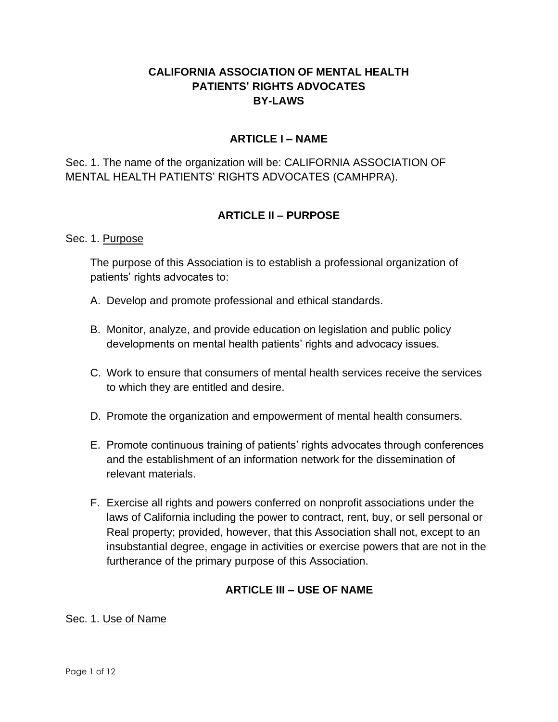# **CALIFORNIA ASSOCIATION OF MENTAL HEALTH PATIENTS' RIGHTS ADVOCATES BY-LAWS**

# **ARTICLE I – NAME**

Sec. 1. The name of the organization will be: CALIFORNIA ASSOCIATION OF MENTAL HEALTH PATIENTS' RIGHTS ADVOCATES (CAMHPRA).

## **ARTICLE II – PURPOSE**

#### Sec. 1. Purpose

The purpose of this Association is to establish a professional organization of patients' rights advocates to:

- A. Develop and promote professional and ethical standards.
- B. Monitor, analyze, and provide education on legislation and public policy developments on mental health patients' rights and advocacy issues.
- C. Work to ensure that consumers of mental health services receive the services to which they are entitled and desire.
- D. Promote the organization and empowerment of mental health consumers.
- E. Promote continuous training of patients' rights advocates through conferences and the establishment of an information network for the dissemination of relevant materials.
- F. Exercise all rights and powers conferred on nonprofit associations under the laws of California including the power to contract, rent, buy, or sell personal or Real property; provided, however, that this Association shall not, except to an insubstantial degree, engage in activities or exercise powers that are not in the furtherance of the primary purpose of this Association.

### **ARTICLE III – USE OF NAME**

#### Sec. 1. Use of Name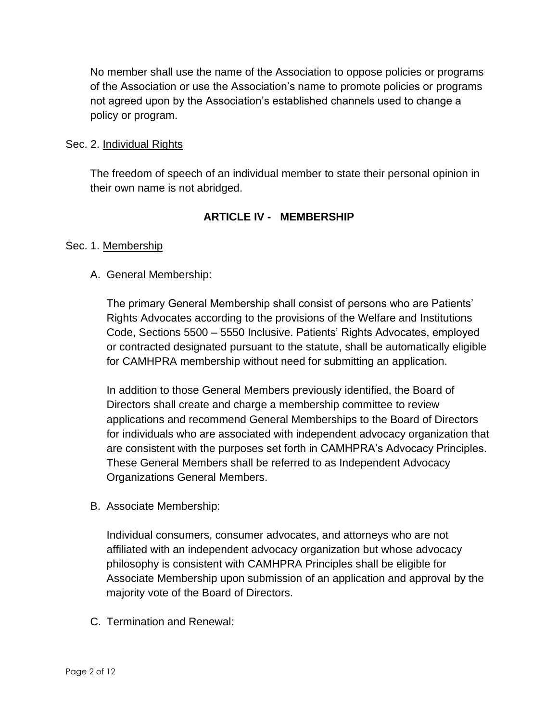No member shall use the name of the Association to oppose policies or programs of the Association or use the Association's name to promote policies or programs not agreed upon by the Association's established channels used to change a policy or program.

#### Sec. 2. Individual Rights

The freedom of speech of an individual member to state their personal opinion in their own name is not abridged.

## **ARTICLE IV - MEMBERSHIP**

#### Sec. 1. Membership

### A. General Membership:

The primary General Membership shall consist of persons who are Patients' Rights Advocates according to the provisions of the Welfare and Institutions Code, Sections 5500 – 5550 Inclusive. Patients' Rights Advocates, employed or contracted designated pursuant to the statute, shall be automatically eligible for CAMHPRA membership without need for submitting an application.

In addition to those General Members previously identified, the Board of Directors shall create and charge a membership committee to review applications and recommend General Memberships to the Board of Directors for individuals who are associated with independent advocacy organization that are consistent with the purposes set forth in CAMHPRA's Advocacy Principles. These General Members shall be referred to as Independent Advocacy Organizations General Members.

B. Associate Membership:

Individual consumers, consumer advocates, and attorneys who are not affiliated with an independent advocacy organization but whose advocacy philosophy is consistent with CAMHPRA Principles shall be eligible for Associate Membership upon submission of an application and approval by the majority vote of the Board of Directors.

C. Termination and Renewal: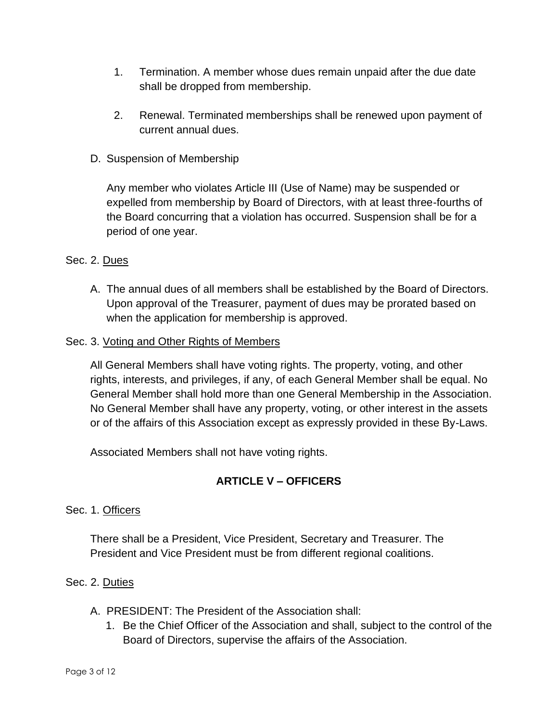- 1. Termination. A member whose dues remain unpaid after the due date shall be dropped from membership.
- 2. Renewal. Terminated memberships shall be renewed upon payment of current annual dues.
- D. Suspension of Membership

Any member who violates Article III (Use of Name) may be suspended or expelled from membership by Board of Directors, with at least three-fourths of the Board concurring that a violation has occurred. Suspension shall be for a period of one year.

## Sec. 2. Dues

A. The annual dues of all members shall be established by the Board of Directors. Upon approval of the Treasurer, payment of dues may be prorated based on when the application for membership is approved.

#### Sec. 3. Voting and Other Rights of Members

All General Members shall have voting rights. The property, voting, and other rights, interests, and privileges, if any, of each General Member shall be equal. No General Member shall hold more than one General Membership in the Association. No General Member shall have any property, voting, or other interest in the assets or of the affairs of this Association except as expressly provided in these By-Laws.

Associated Members shall not have voting rights.

# **ARTICLE V – OFFICERS**

### Sec. 1. Officers

There shall be a President, Vice President, Secretary and Treasurer. The President and Vice President must be from different regional coalitions.

### Sec. 2. Duties

- A. PRESIDENT: The President of the Association shall:
	- 1. Be the Chief Officer of the Association and shall, subject to the control of the Board of Directors, supervise the affairs of the Association.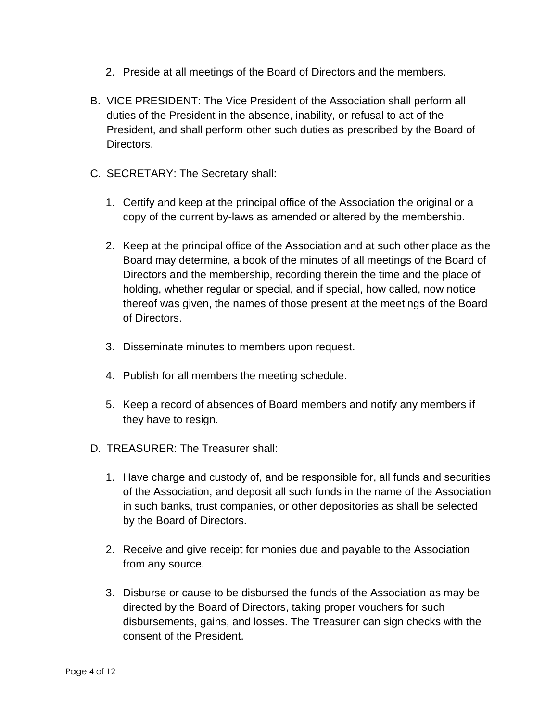- 2. Preside at all meetings of the Board of Directors and the members.
- B. VICE PRESIDENT: The Vice President of the Association shall perform all duties of the President in the absence, inability, or refusal to act of the President, and shall perform other such duties as prescribed by the Board of Directors.
- C. SECRETARY: The Secretary shall:
	- 1. Certify and keep at the principal office of the Association the original or a copy of the current by-laws as amended or altered by the membership.
	- 2. Keep at the principal office of the Association and at such other place as the Board may determine, a book of the minutes of all meetings of the Board of Directors and the membership, recording therein the time and the place of holding, whether regular or special, and if special, how called, now notice thereof was given, the names of those present at the meetings of the Board of Directors.
	- 3. Disseminate minutes to members upon request.
	- 4. Publish for all members the meeting schedule.
	- 5. Keep a record of absences of Board members and notify any members if they have to resign.
- D. TREASURER: The Treasurer shall:
	- 1. Have charge and custody of, and be responsible for, all funds and securities of the Association, and deposit all such funds in the name of the Association in such banks, trust companies, or other depositories as shall be selected by the Board of Directors.
	- 2. Receive and give receipt for monies due and payable to the Association from any source.
	- 3. Disburse or cause to be disbursed the funds of the Association as may be directed by the Board of Directors, taking proper vouchers for such disbursements, gains, and losses. The Treasurer can sign checks with the consent of the President.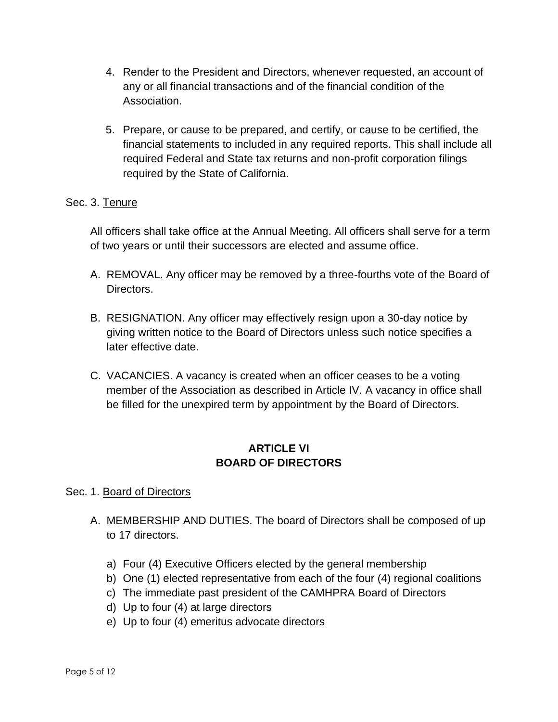- 4. Render to the President and Directors, whenever requested, an account of any or all financial transactions and of the financial condition of the Association.
- 5. Prepare, or cause to be prepared, and certify, or cause to be certified, the financial statements to included in any required reports. This shall include all required Federal and State tax returns and non-profit corporation filings required by the State of California.

### Sec. 3. Tenure

All officers shall take office at the Annual Meeting. All officers shall serve for a term of two years or until their successors are elected and assume office.

- A. REMOVAL. Any officer may be removed by a three-fourths vote of the Board of Directors.
- B. RESIGNATION. Any officer may effectively resign upon a 30-day notice by giving written notice to the Board of Directors unless such notice specifies a later effective date.
- C. VACANCIES. A vacancy is created when an officer ceases to be a voting member of the Association as described in Article IV. A vacancy in office shall be filled for the unexpired term by appointment by the Board of Directors.

# **ARTICLE VI BOARD OF DIRECTORS**

### Sec. 1. Board of Directors

- A. MEMBERSHIP AND DUTIES. The board of Directors shall be composed of up to 17 directors.
	- a) Four (4) Executive Officers elected by the general membership
	- b) One (1) elected representative from each of the four (4) regional coalitions
	- c) The immediate past president of the CAMHPRA Board of Directors
	- d) Up to four (4) at large directors
	- e) Up to four (4) emeritus advocate directors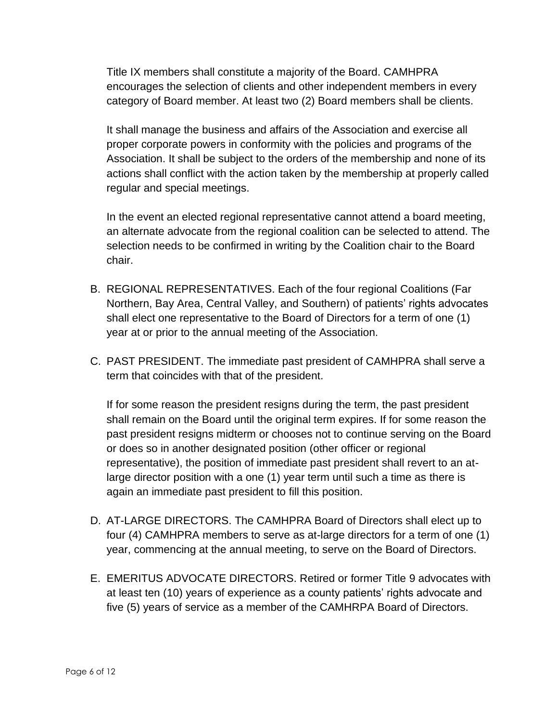Title IX members shall constitute a majority of the Board. CAMHPRA encourages the selection of clients and other independent members in every category of Board member. At least two (2) Board members shall be clients.

It shall manage the business and affairs of the Association and exercise all proper corporate powers in conformity with the policies and programs of the Association. It shall be subject to the orders of the membership and none of its actions shall conflict with the action taken by the membership at properly called regular and special meetings.

In the event an elected regional representative cannot attend a board meeting, an alternate advocate from the regional coalition can be selected to attend. The selection needs to be confirmed in writing by the Coalition chair to the Board chair.

- B. REGIONAL REPRESENTATIVES. Each of the four regional Coalitions (Far Northern, Bay Area, Central Valley, and Southern) of patients' rights advocates shall elect one representative to the Board of Directors for a term of one (1) year at or prior to the annual meeting of the Association.
- C. PAST PRESIDENT. The immediate past president of CAMHPRA shall serve a term that coincides with that of the president.

If for some reason the president resigns during the term, the past president shall remain on the Board until the original term expires. If for some reason the past president resigns midterm or chooses not to continue serving on the Board or does so in another designated position (other officer or regional representative), the position of immediate past president shall revert to an atlarge director position with a one (1) year term until such a time as there is again an immediate past president to fill this position.

- D. AT-LARGE DIRECTORS. The CAMHPRA Board of Directors shall elect up to four (4) CAMHPRA members to serve as at-large directors for a term of one (1) year, commencing at the annual meeting, to serve on the Board of Directors.
- E. EMERITUS ADVOCATE DIRECTORS. Retired or former Title 9 advocates with at least ten (10) years of experience as a county patients' rights advocate and five (5) years of service as a member of the CAMHRPA Board of Directors.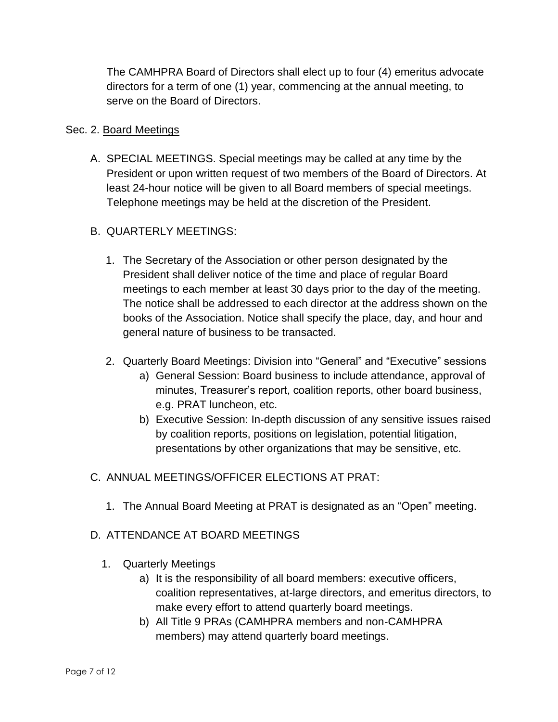The CAMHPRA Board of Directors shall elect up to four (4) emeritus advocate directors for a term of one (1) year, commencing at the annual meeting, to serve on the Board of Directors.

### Sec. 2. Board Meetings

A. SPECIAL MEETINGS. Special meetings may be called at any time by the President or upon written request of two members of the Board of Directors. At least 24-hour notice will be given to all Board members of special meetings. Telephone meetings may be held at the discretion of the President.

## B. QUARTERLY MEETINGS:

- 1. The Secretary of the Association or other person designated by the President shall deliver notice of the time and place of regular Board meetings to each member at least 30 days prior to the day of the meeting. The notice shall be addressed to each director at the address shown on the books of the Association. Notice shall specify the place, day, and hour and general nature of business to be transacted.
- 2. Quarterly Board Meetings: Division into "General" and "Executive" sessions
	- a) General Session: Board business to include attendance, approval of minutes, Treasurer's report, coalition reports, other board business, e.g. PRAT luncheon, etc.
	- b) Executive Session: In-depth discussion of any sensitive issues raised by coalition reports, positions on legislation, potential litigation, presentations by other organizations that may be sensitive, etc.
- C. ANNUAL MEETINGS/OFFICER ELECTIONS AT PRAT:
	- 1. The Annual Board Meeting at PRAT is designated as an "Open" meeting.

### D. ATTENDANCE AT BOARD MEETINGS

- 1. Quarterly Meetings
	- a) It is the responsibility of all board members: executive officers, coalition representatives, at-large directors, and emeritus directors, to make every effort to attend quarterly board meetings.
	- b) All Title 9 PRAs (CAMHPRA members and non-CAMHPRA members) may attend quarterly board meetings.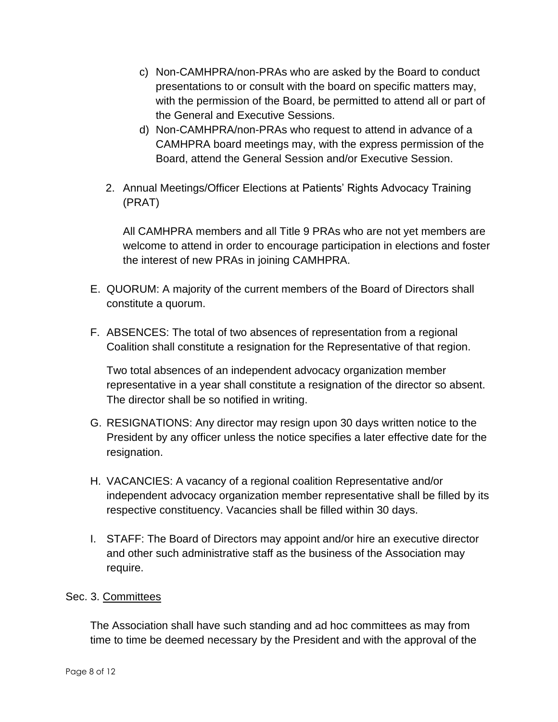- c) Non-CAMHPRA/non-PRAs who are asked by the Board to conduct presentations to or consult with the board on specific matters may, with the permission of the Board, be permitted to attend all or part of the General and Executive Sessions.
- d) Non-CAMHPRA/non-PRAs who request to attend in advance of a CAMHPRA board meetings may, with the express permission of the Board, attend the General Session and/or Executive Session.
- 2. Annual Meetings/Officer Elections at Patients' Rights Advocacy Training (PRAT)

All CAMHPRA members and all Title 9 PRAs who are not yet members are welcome to attend in order to encourage participation in elections and foster the interest of new PRAs in joining CAMHPRA.

- E. QUORUM: A majority of the current members of the Board of Directors shall constitute a quorum.
- F. ABSENCES: The total of two absences of representation from a regional Coalition shall constitute a resignation for the Representative of that region.

Two total absences of an independent advocacy organization member representative in a year shall constitute a resignation of the director so absent. The director shall be so notified in writing.

- G. RESIGNATIONS: Any director may resign upon 30 days written notice to the President by any officer unless the notice specifies a later effective date for the resignation.
- H. VACANCIES: A vacancy of a regional coalition Representative and/or independent advocacy organization member representative shall be filled by its respective constituency. Vacancies shall be filled within 30 days.
- I. STAFF: The Board of Directors may appoint and/or hire an executive director and other such administrative staff as the business of the Association may require.

# Sec. 3. Committees

The Association shall have such standing and ad hoc committees as may from time to time be deemed necessary by the President and with the approval of the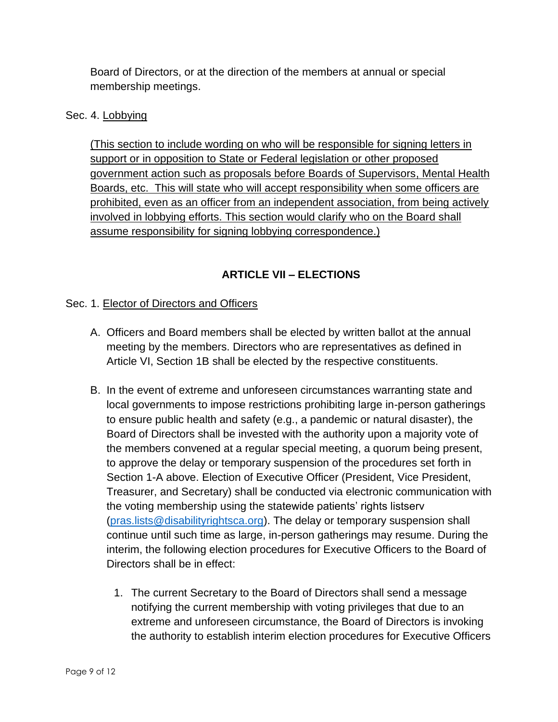Board of Directors, or at the direction of the members at annual or special membership meetings.

## Sec. 4. Lobbying

(This section to include wording on who will be responsible for signing letters in support or in opposition to State or Federal legislation or other proposed government action such as proposals before Boards of Supervisors, Mental Health Boards, etc. This will state who will accept responsibility when some officers are prohibited, even as an officer from an independent association, from being actively involved in lobbying efforts. This section would clarify who on the Board shall assume responsibility for signing lobbying correspondence.)

# **ARTICLE VII – ELECTIONS**

# Sec. 1. Elector of Directors and Officers

- A. Officers and Board members shall be elected by written ballot at the annual meeting by the members. Directors who are representatives as defined in Article VI, Section 1B shall be elected by the respective constituents.
- B. In the event of extreme and unforeseen circumstances warranting state and local governments to impose restrictions prohibiting large in-person gatherings to ensure public health and safety (e.g., a pandemic or natural disaster), the Board of Directors shall be invested with the authority upon a majority vote of the members convened at a regular special meeting, a quorum being present, to approve the delay or temporary suspension of the procedures set forth in Section 1-A above. Election of Executive Officer (President, Vice President, Treasurer, and Secretary) shall be conducted via electronic communication with the voting membership using the statewide patients' rights listserv [\(pras.lists@disabilityrightsca.org\)](mailto:pras.lists@disabilityrightsca.org). The delay or temporary suspension shall continue until such time as large, in-person gatherings may resume. During the interim, the following election procedures for Executive Officers to the Board of Directors shall be in effect:
	- 1. The current Secretary to the Board of Directors shall send a message notifying the current membership with voting privileges that due to an extreme and unforeseen circumstance, the Board of Directors is invoking the authority to establish interim election procedures for Executive Officers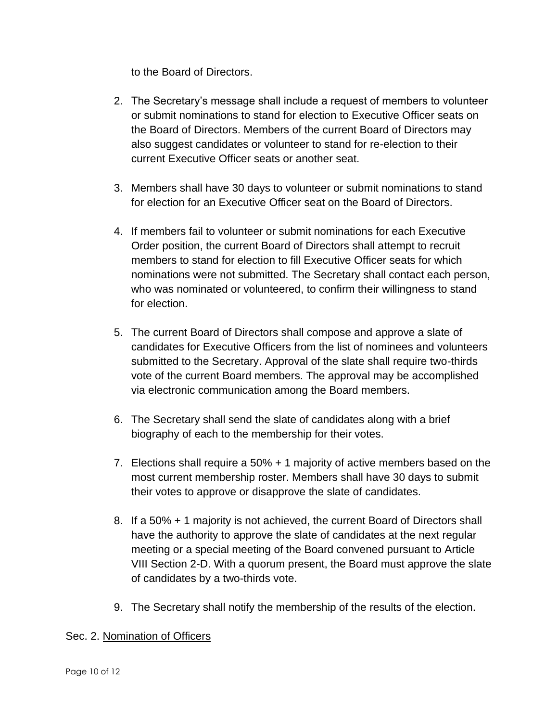to the Board of Directors.

- 2. The Secretary's message shall include a request of members to volunteer or submit nominations to stand for election to Executive Officer seats on the Board of Directors. Members of the current Board of Directors may also suggest candidates or volunteer to stand for re-election to their current Executive Officer seats or another seat.
- 3. Members shall have 30 days to volunteer or submit nominations to stand for election for an Executive Officer seat on the Board of Directors.
- 4. If members fail to volunteer or submit nominations for each Executive Order position, the current Board of Directors shall attempt to recruit members to stand for election to fill Executive Officer seats for which nominations were not submitted. The Secretary shall contact each person, who was nominated or volunteered, to confirm their willingness to stand for election.
- 5. The current Board of Directors shall compose and approve a slate of candidates for Executive Officers from the list of nominees and volunteers submitted to the Secretary. Approval of the slate shall require two-thirds vote of the current Board members. The approval may be accomplished via electronic communication among the Board members.
- 6. The Secretary shall send the slate of candidates along with a brief biography of each to the membership for their votes.
- 7. Elections shall require a 50% + 1 majority of active members based on the most current membership roster. Members shall have 30 days to submit their votes to approve or disapprove the slate of candidates.
- 8. If a 50% + 1 majority is not achieved, the current Board of Directors shall have the authority to approve the slate of candidates at the next regular meeting or a special meeting of the Board convened pursuant to Article VIII Section 2-D. With a quorum present, the Board must approve the slate of candidates by a two-thirds vote.
- 9. The Secretary shall notify the membership of the results of the election.

### Sec. 2. Nomination of Officers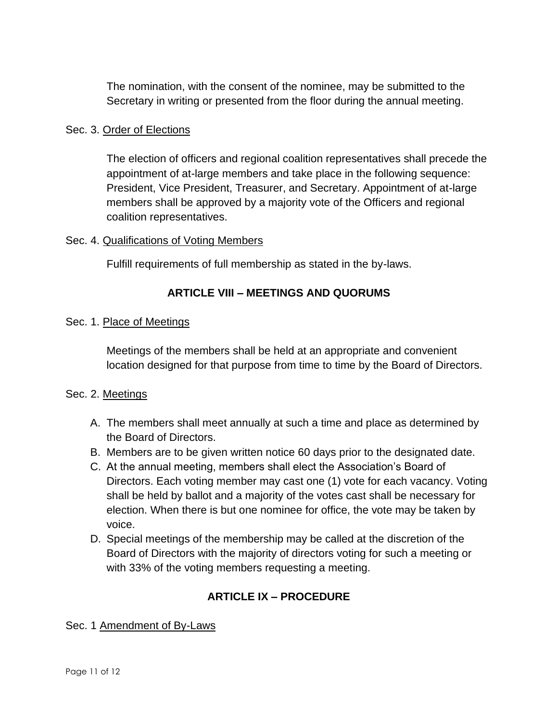The nomination, with the consent of the nominee, may be submitted to the Secretary in writing or presented from the floor during the annual meeting.

#### Sec. 3. Order of Elections

The election of officers and regional coalition representatives shall precede the appointment of at-large members and take place in the following sequence: President, Vice President, Treasurer, and Secretary. Appointment of at-large members shall be approved by a majority vote of the Officers and regional coalition representatives.

#### Sec. 4. Qualifications of Voting Members

Fulfill requirements of full membership as stated in the by-laws.

## **ARTICLE VIII – MEETINGS AND QUORUMS**

#### Sec. 1. Place of Meetings

Meetings of the members shall be held at an appropriate and convenient location designed for that purpose from time to time by the Board of Directors.

### Sec. 2. Meetings

- A. The members shall meet annually at such a time and place as determined by the Board of Directors.
- B. Members are to be given written notice 60 days prior to the designated date.
- C. At the annual meeting, members shall elect the Association's Board of Directors. Each voting member may cast one (1) vote for each vacancy. Voting shall be held by ballot and a majority of the votes cast shall be necessary for election. When there is but one nominee for office, the vote may be taken by voice.
- D. Special meetings of the membership may be called at the discretion of the Board of Directors with the majority of directors voting for such a meeting or with 33% of the voting members requesting a meeting.

# **ARTICLE IX – PROCEDURE**

### Sec. 1 Amendment of By-Laws